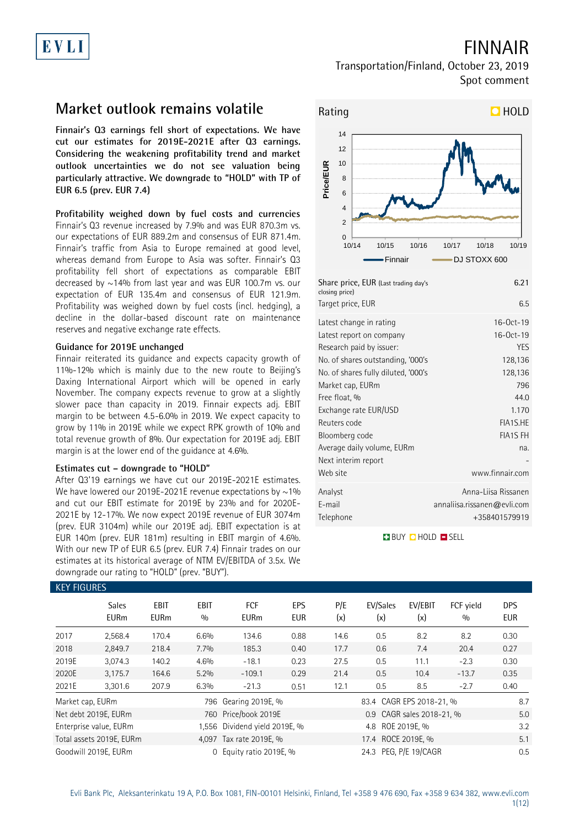## FINNAIR

### Transportation/Finland, October 23, 2019 Spot comment

## **Market outlook remains volatile**

**Finnair's Q3 earnings fell short of expectations. We have cut our estimates for 2019E-2021E after Q3 earnings. Considering the weakening profitability trend and market outlook uncertainties we do not see valuation being particularly attractive. We downgrade to "HOLD" with TP of EUR 6.5 (prev. EUR 7.4)**

**Profitability weighed down by fuel costs and currencies** Finnair's Q3 revenue increased by 7.9% and was EUR 870.3m vs. our expectations of EUR 889.2m and consensus of EUR 871.4m. Finnair's traffic from Asia to Europe remained at good level, whereas demand from Europe to Asia was softer. Finnair's Q3 profitability fell short of expectations as comparable EBIT decreased by ~14% from last year and was EUR 100.7m vs. our expectation of EUR 135.4m and consensus of EUR 121.9m. Profitability was weighed down by fuel costs (incl. hedging), a decline in the dollar-based discount rate on maintenance reserves and negative exchange rate effects.

### **Guidance for 2019E unchanged**

Finnair reiterated its guidance and expects capacity growth of 11%-12% which is mainly due to the new route to Beijing's Daxing International Airport which will be opened in early November. The company expects revenue to grow at a slightly slower pace than capacity in 2019. Finnair expects adj. EBIT margin to be between 4.5-6.0% in 2019. We expect capacity to grow by 11% in 2019E while we expect RPK growth of 10% and total revenue growth of 8%. Our expectation for 2019E adj. EBIT margin is at the lower end of the guidance at 4.6%.

### **Estimates cut – downgrade to "HOLD"**

After Q3'19 earnings we have cut our 2019E-2021E estimates. We have lowered our 2019E-2021E revenue expectations by  $\sim$ 1% and cut our EBIT estimate for 2019E by 23% and for 2020E-2021E by 12-17%. We now expect 2019E revenue of EUR 3074m (prev. EUR 3104m) while our 2019E adj. EBIT expectation is at EUR 140m (prev. EUR 181m) resulting in EBIT margin of 4.6%. With our new TP of EUR 6.5 (prev. EUR 7.4) Finnair trades on our estimates at its historical average of NTM EV/EBITDA of 3.5x. We downgrade our rating to "HOLD" (prev. "BUY").



| Share price, EUR (Last trading day's<br>closing price) | 6.21                        |
|--------------------------------------------------------|-----------------------------|
| Target price, EUR                                      | 6.5                         |
| Latest change in rating                                | 16-0ct-19<br>16-0ct-19      |
| Latest report on company<br>Research paid by issuer:   | <b>YES</b>                  |
| No. of shares outstanding, '000's                      | 128,136                     |
| No. of shares fully diluted, '000's                    | 128,136                     |
| Market cap, EURm                                       | 796                         |
| Free float, %                                          | 44.0                        |
| Exchange rate EUR/USD                                  | 1.170                       |
| Reuters code                                           | FIA1S.HE                    |
| Bloomberg code                                         | <b>FIA1S FH</b>             |
| Average daily volume, EURm                             | na.                         |
| Next interim report                                    |                             |
| Web site                                               | www.finnair.com             |
| Analyst                                                | Anna-Liisa Rissanen         |
| E-mail                                                 | annaliisa.rissanen@evli.com |
| Telephone                                              | +358401579919               |

**BUY DHOLD SELL** 

|                  | <b>KEY FIGURES</b>          |                            |                    |                               |                   |            |                          |                           |                  |                          |  |
|------------------|-----------------------------|----------------------------|--------------------|-------------------------------|-------------------|------------|--------------------------|---------------------------|------------------|--------------------------|--|
|                  | <b>Sales</b><br><b>EURm</b> | <b>EBIT</b><br><b>EURm</b> | <b>EBIT</b><br>0/0 | <b>FCF</b><br><b>EURm</b>     | EPS<br><b>EUR</b> | P/E<br>(x) | EV/Sales<br>(x)          | EV/EBIT<br>(x)            | FCF vield<br>0/0 | <b>DPS</b><br><b>EUR</b> |  |
| 2017             | 2,568.4                     | 170.4                      | 6.6%               | 134.6                         | 0.88              | 14.6       | 0.5                      | 8.2                       | 8.2              | 0.30                     |  |
| 2018             | 2,849.7                     | 218.4                      | 7.7%               | 185.3                         | 0.40              | 17.7       | 0.6                      | 7.4                       | 20.4             | 0.27                     |  |
| 2019E            | 3,074.3                     | 140.2                      | 4.6%               | $-18.1$                       | 0.23              | 27.5       | 0.5                      | 11.1                      | $-2.3$           | 0.30                     |  |
| 2020E            | 3,175.7                     | 164.6                      | 5.2%               | $-109.1$                      | 0.29              | 21.4       | 0.5                      | 10.4                      | $-13.7$          | 0.35                     |  |
| 2021E            | 3,301.6                     | 207.9                      | 6.3%               | $-21.3$                       | 0.51              | 12.1       | 0.5                      | 8.5                       | $-2.7$           | 0.40                     |  |
| Market cap, EURm |                             |                            |                    | 796 Gearing 2019E, %          |                   |            | 83.4 CAGR EPS 2018-21, % |                           |                  | 8.7                      |  |
|                  | Net debt 2019E, EURm        |                            | 760                | Price/book 2019E              |                   |            |                          | 0.9 CAGR sales 2018-21, % |                  | 5.0                      |  |
|                  | Enterprise value, EURm      |                            |                    | 1,556 Dividend yield 2019E, % |                   |            | 4.8 ROE 2019E, %         |                           |                  | 3.2                      |  |
|                  | Total assets 2019E, EURm    |                            |                    | 4,097 Tax rate 2019E, %       |                   |            | 17.4 ROCE 2019E, %       |                           |                  | 5.1                      |  |
|                  | Goodwill 2019E. EURm        |                            | $\Omega$           | Equity ratio 2019E, %         |                   |            | 24.3 PEG. P/E 19/CAGR    |                           |                  | 0.5                      |  |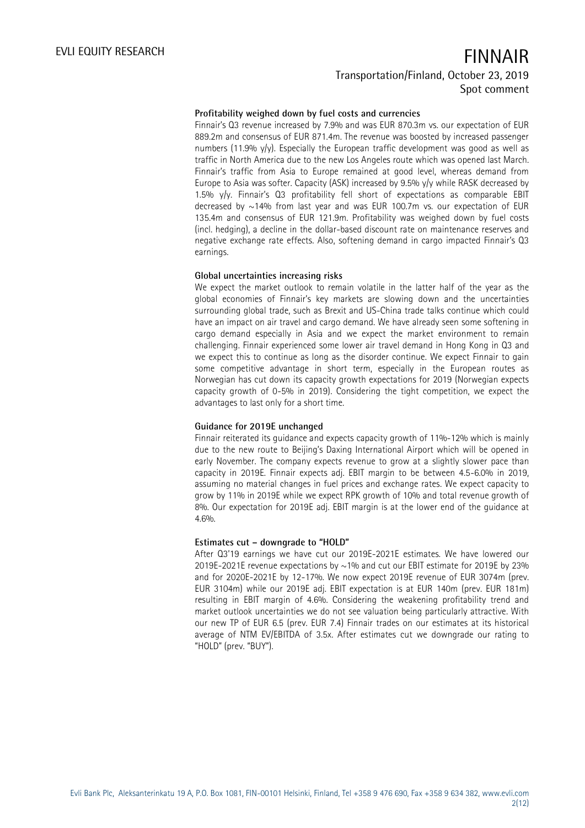### **Profitability weighed down by fuel costs and currencies**

Finnair's Q3 revenue increased by 7.9% and was EUR 870.3m vs. our expectation of EUR 889.2m and consensus of EUR 871.4m. The revenue was boosted by increased passenger numbers (11.9%  $y/y$ ). Especially the European traffic development was good as well as traffic in North America due to the new Los Angeles route which was opened last March. Finnair's traffic from Asia to Europe remained at good level, whereas demand from Europe to Asia was softer. Capacity (ASK) increased by 9.5% y/y while RASK decreased by 1.5% y/y. Finnair's Q3 profitability fell short of expectations as comparable EBIT decreased by ~14% from last year and was EUR 100.7m vs. our expectation of EUR 135.4m and consensus of EUR 121.9m. Profitability was weighed down by fuel costs (incl. hedging), a decline in the dollar-based discount rate on maintenance reserves and negative exchange rate effects. Also, softening demand in cargo impacted Finnair's Q3 earnings.

### **Global uncertainties increasing risks**

We expect the market outlook to remain volatile in the latter half of the year as the global economies of Finnair's key markets are slowing down and the uncertainties surrounding global trade, such as Brexit and US-China trade talks continue which could have an impact on air travel and cargo demand. We have already seen some softening in cargo demand especially in Asia and we expect the market environment to remain challenging. Finnair experienced some lower air travel demand in Hong Kong in Q3 and we expect this to continue as long as the disorder continue. We expect Finnair to gain some competitive advantage in short term, especially in the European routes as Norwegian has cut down its capacity growth expectations for 2019 (Norwegian expects capacity growth of 0-5% in 2019). Considering the tight competition, we expect the advantages to last only for a short time.

### **Guidance for 2019E unchanged**

Finnair reiterated its guidance and expects capacity growth of 11%-12% which is mainly due to the new route to Beijing's Daxing International Airport which will be opened in early November. The company expects revenue to grow at a slightly slower pace than capacity in 2019E. Finnair expects adj. EBIT margin to be between 4.5-6.0% in 2019, assuming no material changes in fuel prices and exchange rates. We expect capacity to grow by 11% in 2019E while we expect RPK growth of 10% and total revenue growth of 8%. Our expectation for 2019E adj. EBIT margin is at the lower end of the guidance at 4.6%.

### **Estimates cut – downgrade to "HOLD"**

After Q3'19 earnings we have cut our 2019E-2021E estimates. We have lowered our 2019E-2021E revenue expectations by  $\sim$  1% and cut our EBIT estimate for 2019E by 23% and for 2020E-2021E by 12-17%. We now expect 2019E revenue of EUR 3074m (prev. EUR 3104m) while our 2019E adj. EBIT expectation is at EUR 140m (prev. EUR 181m) resulting in EBIT margin of 4.6%. Considering the weakening profitability trend and market outlook uncertainties we do not see valuation being particularly attractive. With our new TP of EUR 6.5 (prev. EUR 7.4) Finnair trades on our estimates at its historical average of NTM EV/EBITDA of 3.5x. After estimates cut we downgrade our rating to "HOLD" (prev. "BUY").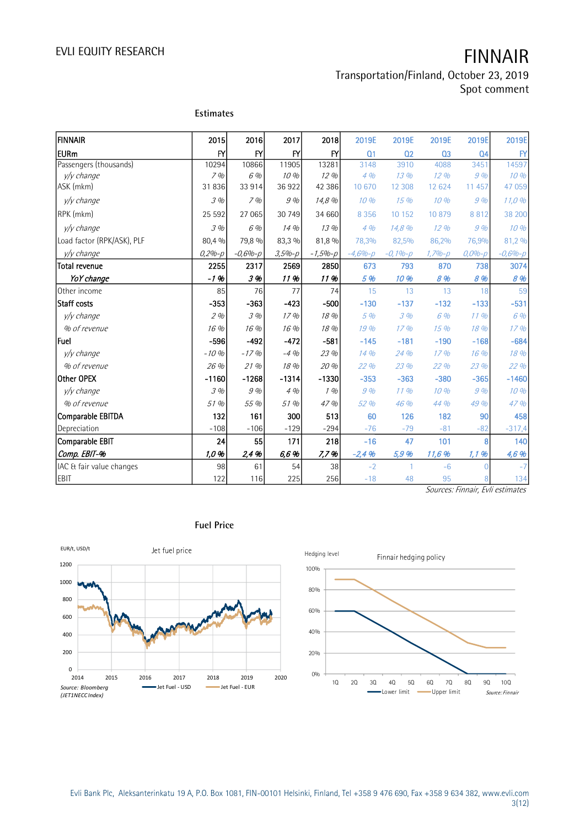### Transportation/Finland, October 23, 2019 Spot comment

| FINNAIR                    | 2015         | 2016           | 2017          | 2018          | 2019E          | 2019E          | 2019E          | 2019E          | 2019E       |
|----------------------------|--------------|----------------|---------------|---------------|----------------|----------------|----------------|----------------|-------------|
| <b>EURm</b>                | $\mathsf{F}$ | $\mathsf{F}$   | $\mathsf{FY}$ | $\mathsf{FY}$ | Q <sub>1</sub> | Q <sub>2</sub> | Q <sub>3</sub> | Q <sub>4</sub> | BY          |
| Passengers (thousands)     | 10294        | 10866          | 11905         | 13281         | 3148           | 3910           | 4088           | 3451           | 14597       |
| y/y change                 | 7%           | 6 %            | 10%           | 12%           | 4%             | 13%            | 12%            | 9%             | 10 %        |
| ASK (mkm)                  | 31836        | 33 914         | 36922         | 42 386        | 10 670         | 12 308         | 12 624         | 11 457         | 47 059      |
| y/y change                 | 3%           | 7%             | 9%            | 14,8 %        | 10%            | 15%            | 10%            | 9%             | 11,0%       |
| RPK (mkm)                  | 25 5 9 2     | 27 065         | 30 749        | 34 660        | 8 3 5 6        | 10 152         | 10879          | 8812           | 38 200      |
| y/y change                 | 3 %          | 6 %            | 14 %          | 13 %          | 4%             | 14,8 %         | 12 %           | 9%             | 10%         |
| Load factor (RPK/ASK), PLF | 80,4 %       | 79,8 %         | 83,3 %        | 81,8 %        | 78,3%          | 82,5%          | 86,2%          | 76,9%          | 81,2 %      |
| y/y change                 | $0,2% - p$   | $-0,6% - p$    | $3,5% - p$    | $-1,5% - p$   | $-4,6% - p$    | $-0,1%$ - $p$  | $1,7% - p$     | $0,0% - p$     | $-0,6% - p$ |
| Total revenue              | 2255         | 2317           | 2569          | 2850          | 673            | 793            | 870            | 738            | 3074        |
| YoY change                 | $-1.96$      | 3%             | 11%           | 11 %          | 5 %            | 10 %           | 8 %            | 8 %            | 8 %         |
| Other income               | 85           | 76             | 77            | 74            | 15             | 13             | 13             | 18             | 59          |
| Staff costs                | $-353$       | $-363$         | $-423$        | $-500$        | $-130$         | $-137$         | $-132$         | $-133$         | $-531$      |
| y/y change                 | 2%           | 3 %            | 17 %          | 18 %          | 5 %            | 3%             | 6 %            | 11%            | 6 %         |
| % of revenue               | 16 %         | 16 %           | 16 %          | 18 %          | 19 %           | 17%            | 15%            | 18 %           | 17%         |
| Fuel                       | $-596$       | $-492$         | $-472$        | $-581$        | $-145$         | $-181$         | $-190$         | $-168$         | $-684$      |
| y/y change                 | $-10%$       | $-17%$         | $-4%$         | 23 %          | 14 %           | 24 %           | 17%            | 16 %           | 18 %        |
| % of revenue               | 26 %         | 21 %           | 18 %          | 20 %          | 22 %           | 23 %           | 22 %           | 23 %           | 22 %        |
| Other OPEX                 | $-1160$      | $-1268$        | $-1314$       | $-1330$       | $-353$         | $-363$         | $-380$         | $-365$         | $-1460$     |
| y/y change                 | 3%           | $\mathcal G$ % | 4%            | 1%            | 9%             | 11%            | 10 %           | 9%             | 10 %        |
| % of revenue               | 51 %         | 55 %           | 51 %          | 47%           | 52 %           | 46 %           | 44 %           | 49 %           | 47%         |
| Comparable EBITDA          | 132          | 161            | 300           | 513           | 60             | 126            | 182            | 90             | 458         |
| Depreciation               | $-108$       | $-106$         | $-129$        | $-294$        | $-76$          | $-79$          | $-81$          | $-82$          | $-317,4$    |
| Comparable EBIT            | 24           | 55             | 171           | 218           | $-16$          | 47             | 101            | 8              | 140         |
| Comp. EBIT-%               | 1.0%         | 2,4 %          | 6,6 %         | 7,7%          | $-2,4%$        | 5,9 %          | 11,6 %         | 1, 1, 96       | 4,6 %       |
| IAC & fair value changes   | 98           | 61             | 54            | 38            | $-2$           | $\mathbf{1}$   | $-6$           |                | $-7$        |
| <b>EBIT</b>                | 122          | 116            | 225           | 256           | $-18$          | 48             | 95             | 8              | 134         |

Sources: Finnair, Evli estimates



### **Fuel Price**

**Estimates**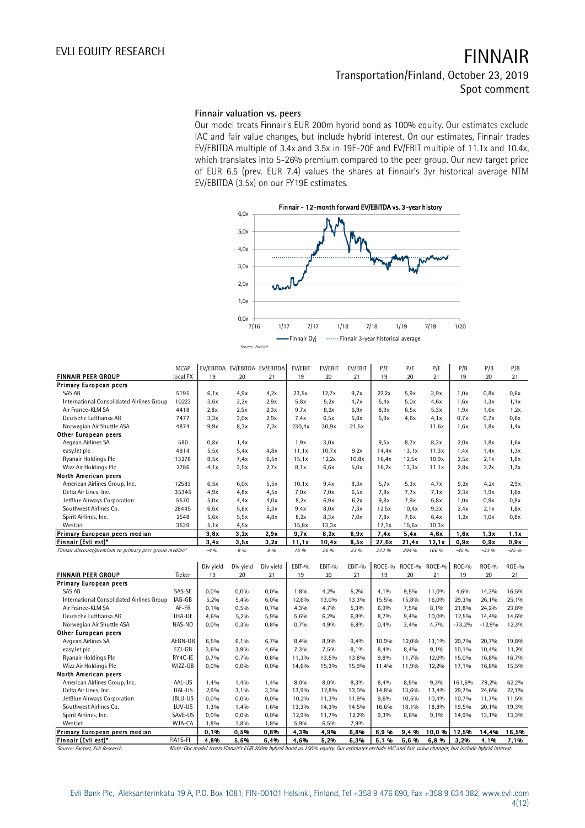**Finnair valuation vs. peers**

Our model treats Finnair's EUR 200m hybrid bond as 100% equity. Our estimates exclude IAC and fair value changes, but include hybrid interest. On our estimates, Finnair trades EV/EBITDA multiple of 3.4x and 3.5x in 19E-20E and EV/EBIT multiple of 11.1x and 10.4x, which translates into 5-26% premium compared to the peer group. Our new target price of EUR 6.5 (prev. EUR 7.4) values the shares at Finnair's 3yr historical average NTM EV/EBITDA (3.5x) on our FY19E estimates.



|                                           | <b>MCAP</b> |                                                                                                                                                      | EV/EBITDA EV/EBITDA EV/EBITDA |                 | EV/EBIT      | EV/EBIT      | EV/EBIT      | P/E          | P/E          | P/E          | P/B           | P/B                | P/B                |
|-------------------------------------------|-------------|------------------------------------------------------------------------------------------------------------------------------------------------------|-------------------------------|-----------------|--------------|--------------|--------------|--------------|--------------|--------------|---------------|--------------------|--------------------|
| <b>FINNAIR PEER GROUP</b>                 | local FX    | 19                                                                                                                                                   | 20                            | 21              | 19           | 20           | 21           | 19           | 20           | 21           | 19            | 20                 | 21                 |
| <b>Primary European peers</b>             |             |                                                                                                                                                      |                               |                 |              |              |              |              |              |              |               |                    |                    |
| <b>SAS AB</b>                             | 5195        | 6,1x                                                                                                                                                 | 4.9x                          | 4,2x            | 23,5x        | 12.7x        | 9,7x         | 22,2x        | 5.9x         | 3,9x         | 1,0x          | 0.8x               | 0,6x               |
| International Consolidated Airlines Group | 10223       | 3,6x                                                                                                                                                 | 3,2x                          | 2.9x            | 5,8x         | 5,2x         | 4.7x         | 5,4x         | 5,0x         | 4.6x         | 1,6x          | 1,3x               | 1,1x               |
| Air France-KLM SA                         | 4418        | 2.8x                                                                                                                                                 | 2,5x                          | 2,3x            | 9.7x         | 8,2x         | 6,9x         | 8.9x         | 6,5x         | 5,3x         | 1,9x          | 1,6x               | 1,2x               |
| Deutsche Lufthansa AG                     | 7477        | 3,3x                                                                                                                                                 | 3,0x                          | 2,9x            | 7.4x         | 6,5x         | 5.8x         | 5.9x         | 4.6x         | 4.1x         | 0.7x          | 0.7x               | 0,6x               |
| Norwegian Air Shuttle ASA                 | 4874        | 9.9x                                                                                                                                                 | 8,3x                          | 7,2x            | 230,4x       | 30,9x        | 21,5x        |              |              | 11,6x        | 1,6x          | 1,8x               | 1,4x               |
| Other European peers                      |             |                                                                                                                                                      |                               |                 |              |              |              |              |              |              |               |                    |                    |
| Aegean Airlines SA                        | 580         | 0.8x                                                                                                                                                 | 1.4x                          |                 | 1,9x         | 3,0x         |              | 9,5x         | 8,7x         | 8,3x         | 2.0x          | 1,8x               | 1,6x               |
| easyJet plc                               | 4914        | 5,5x                                                                                                                                                 | 5,4x                          | 4,8x            | 11,1x        | 10,7x        | 9,2x         | 14,4x        | 13,1x        | 11,3x        | 1,4x          | 1,4x               | 1,3x               |
| Ryanair Holdings Plc                      | 13278       | 8,5x                                                                                                                                                 | 7.4x                          | 6,5x            | 15,1x        | 12,2x        | 10,8x        | 16,4x        | 12,5x        | 10,9x        | 2.5x          | 2,1x               | 1,8x               |
| Wizz Air Holdings Plc                     | 2786        | 4.1x                                                                                                                                                 | 3,5x                          | 2.7x            | 8,1x         | 6,6x         | 5.0x         | 16,2x        | 13,3x        | 11,1x        | 2,8x          | 2,2x               | 1,7x               |
| North American peers                      |             |                                                                                                                                                      |                               |                 |              |              |              |              |              |              |               |                    |                    |
| American Airlines Group, Inc.             | 12583       | 6,5x                                                                                                                                                 | 6,0x                          | 5,5x            | 10,1x        | 9,4x         | 8,3x         | 5.7x         | 5,3x         | 4.7x         | 9,2x          | 4,2x               | 2,9x               |
| Delta Air Lines, Inc.                     | 35345       | 4,9x                                                                                                                                                 | 4,8x                          | 4,5x            | 7,0x         | 7,0x         | 6,5x         | 7,8x         | 7,7x         | 7,1x         | 2,3x          | 1,9x               | 1,6x               |
| JetBlue Airways Corporation               | 5570        | 5.0x                                                                                                                                                 | 4.4x                          | 4.0x            | 8,2x         | 6.9x         | 6,2x         | 9,8x         | 7.9x         | 6,8x         | 1,0x          | 0.9x               | 0.8x               |
| Southwest Airlines Co.                    | 28445       | 6,6x                                                                                                                                                 | 5,8x                          | 5.3x            | 9.4x         | 8,0x         | 7.3x         | 12,5x        | 10,4x        | 9,3x         | 2.4x          | 2.1x               | 1,8x               |
| Spirit Airlines, Inc.                     | 2548        | 5,6x                                                                                                                                                 | 5,5x                          | 4.8x            | 8,2x         | 8,3x         | 7.0x         | 7,8x         | 7.6x         | 6.4x         | 1,2x          | 1,0x               | 0,8x               |
| WestJet                                   | 3539        | 5,1x                                                                                                                                                 | 4,5x                          |                 | 15,8x        | 13,3x        |              | 17,1x        | 15,6x        | 10,3x        |               |                    |                    |
| Primary European peers median             |             | 3,6x                                                                                                                                                 | 3,2x                          | 2.9x            | 9.7x         | 8,2x         | 6,9x         | 7.4x         | 5,4x         | 4.6x         | 1.6x          | 1,3x               | 1.1x               |
| Finnair (Evli est)*                       |             | 3.4x                                                                                                                                                 | 3.5x                          | 3.2x            | 11.1x        | 10.4x        | 8.5x         | 27.6x        | 21.4x        | 12.1x        | 0.9x          | 0.9x               | 0.9x               |
| <b>FINNAIR PEER GROUP</b>                 | Ticker      | Div yield<br>19                                                                                                                                      | Div yield<br>20               | Div yield<br>21 | EBIT-%<br>19 | EBIT-%<br>20 | EBIT-%<br>21 | ROCE-%<br>19 | ROCE-%<br>20 | ROCE-%<br>21 | $ROE-9$<br>19 | <b>ROE-%</b><br>20 | <b>ROE-%</b><br>21 |
| <b>Primary European peers</b>             |             |                                                                                                                                                      |                               |                 |              |              |              |              |              |              |               |                    |                    |
| SAS AB                                    | SAS-SE      | 0,0%                                                                                                                                                 | 0,0%                          | 0,0%            | 1,8%         | 4,2%         | 5,2%         | 4,1%         | 9,5%         | 11,0%        | 4,6%          | 14,3%              | 16,5%              |
| International Consolidated Airlines Group | IAG-GB      | 5,2%                                                                                                                                                 | 5,4%                          | 6,0%            | 12,6%        | 13,0%        | 13,3%        | 15,5%        | 15,8%        | 16,0%        | 29,3%         | 26,1%              | 25,1%              |
| Air France-KLM SA                         | AF-FR       | 0,1%                                                                                                                                                 | 0,5%                          | 0,7%            | 4,3%         | 4,7%         | 5,3%         | 6,9%         | 7,5%         | 8,1%         | 21,8%         | 24,2%              | 23,8%              |
| Deutsche Lufthansa AG                     | LHA-DE      | 4,6%                                                                                                                                                 | 5,2%                          | 5,9%            | 5,6%         | 6,2%         | 6,8%         | 8,7%         | 9,4%         | 10,0%        | 12,5%         | 14,4%              | 14,6%              |
| Norwegian Air Shuttle ASA                 | NAS-NO      | 0,0%                                                                                                                                                 | 0,3%                          | 0,8%            | 0,7%         | 4,9%         | 6,8%         | 0,4%         | 3,4%         | 4,7%         | $-73,2%$      | $-12,9%$           | 12,3%              |
| Other European peers                      |             |                                                                                                                                                      |                               |                 |              |              |              |              |              |              |               |                    |                    |
| Aegean Airlines SA                        | AEGN-GR     | 6,5%                                                                                                                                                 | 6,1%                          | 6,7%            | 8,4%         | 8,9%         | 9,4%         | 10,9%        | 12,0%        | 13,1%        | 20,7%         | 20,7%              | 19,8%              |
| easyJet plc                               | EZJ-GB      | 3,6%                                                                                                                                                 | 3,9%                          | 4,6%            | 7,3%         | 7,5%         | 8,1%         | 8,4%         | 8,4%         | 9,1%         | 10,1%         | 10,4%              | 11,2%              |
| Ryanair Holdings Plc                      | RY4C-IE     | 0,7%                                                                                                                                                 | 0.7%                          | 0,8%            | 11,3%        | 13,5%        | 13,8%        | 9.8%         | 11.7%        | 12,0%        | 15,0%         | 16,8%              | 16,7%              |
| Wizz Air Holdings Plc                     | WIZZ-GB     | 0,0%                                                                                                                                                 | 0,0%                          | 0.0%            | 14,6%        | 15,3%        | 15,9%        | 11.4%        | 11,9%        | 12,2%        | 17,1%         | 16,8%              | 15,5%              |
| North American peers                      |             |                                                                                                                                                      |                               |                 |              |              |              |              |              |              |               |                    |                    |
| American Airlines Group, Inc.             | AAL-US      | 1,4%                                                                                                                                                 | 1,4%                          | 1,4%            | 8,0%         | 8,0%         | 8,3%         | 8.4%         | 8,5%         | 9,3%         | 161,6%        | 79,2%              | 62,2%              |
| Delta Air Lines, Inc.                     | DAL-US      | 2,9%                                                                                                                                                 | 3,1%                          | 3,3%            | 13,9%        | 12,8%        | 13,0%        | 14,8%        | 13,6%        | 13,4%        | 29,7%         | 24,6%              | 22,1%              |
| JetBlue Airways Corporation               | JBLU-US     | 0,0%                                                                                                                                                 | 0,0%                          | 0,0%            | 10,2%        | 11,3%        | 11,9%        | 9.6%         | 10,5%        | 10,4%        | 10,7%         | 11,7%              | 11,5%              |
| Southwest Airlines Co.                    | LUV-US      | 1,3%                                                                                                                                                 | 1,4%                          | 1,6%            | 13,3%        | 14,3%        | 14,5%        | 16,6%        | 18,1%        | 18,8%        | 19,5%         | 20,1%              | 19,3%              |
| Spirit Airlines, Inc.                     | SAVE-US     | 0,0%                                                                                                                                                 | 0,0%                          | 0,0%            | 12,9%        | 11,7%        | 12,2%        | 9,3%         | 8,6%         | 9,1%         | 14,9%         | 13,1%              | 13,3%              |
| WestJet                                   | WJA-CA      | 1,8%                                                                                                                                                 | 1,8%                          | 1,8%            | 5,9%         | 6,5%         | 7,9%         |              |              |              |               |                    |                    |
| Primary European peers median             |             | 0,1%                                                                                                                                                 | 0,5%                          | 0,8%            | 4,3%         | 4,9%         | 6,8%         | 6,9%         | 9,4%         | 10.0%        | 12,5%         | 14,4%              | 16,5%              |
| Finnair (Evli est)*                       | FIA1S-FI    | 4,8%                                                                                                                                                 | 5,6%                          | 6.4%            | 4,6%         | 5,2%         | 6.3%         | 5,1%         | 5,6%         | 6,8%         | 3,2%          | 4,1%               | 7,1%               |
| Source: Factset, Evli Research            |             | Note: Our model treats Finnair's EUR 200m hybrid bond as 100% equity. Our estimates exclude IAC and fair value changes, but include hybrid interest. |                               |                 |              |              |              |              |              |              |               |                    |                    |

Evli Bank Plc, Aleksanterinkatu 19 A, P.O. Box 1081, FIN-00101 Helsinki, Finland, Tel +358 9 476 690, Fax +358 9 634 382, [www.evli.com](http://www.evli.com/) 4(12)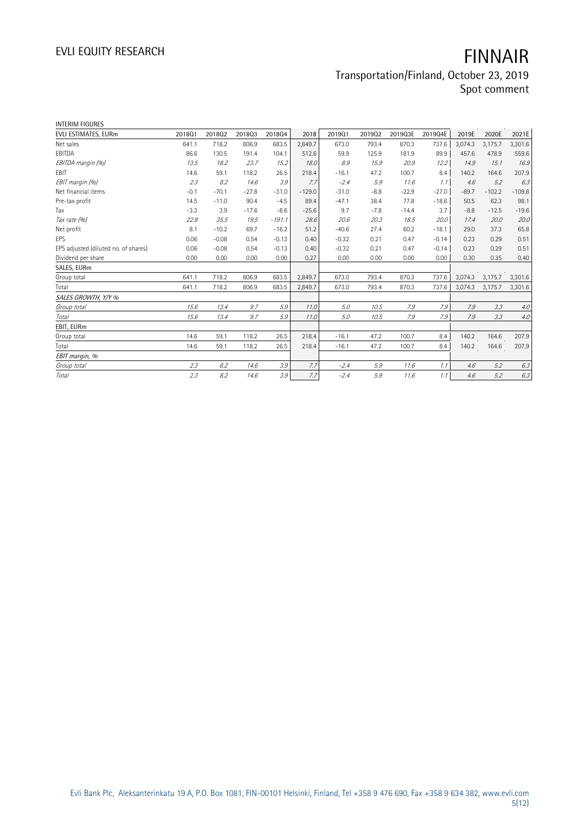# EVLI EQUITY RESEARCH **FINNAIR**

### Transportation/Finland, October 23, 2019 Spot comment

| <b>INTERIM FIGURES</b>               |        |         |         |          |          |         |        |         |         |         |          |          |
|--------------------------------------|--------|---------|---------|----------|----------|---------|--------|---------|---------|---------|----------|----------|
| EVLI ESTIMATES, EURm                 | 201801 | 201802  | 201803  | 201804   | 2018     | 201901  | 201902 | 2019Q3E | 2019Q4E | 2019E   | 2020E    | 2021E    |
| Net sales                            | 641.1  | 718.2   | 806.9   | 683.5    | 2,849.7  | 673.0   | 793.4  | 870.3   | 737.6   | 3,074.3 | 3,175.7  | 3,301.6  |
| EBITDA                               | 86.6   | 130.5   | 191.4   | 104.1    | 512.6    | 59.9    | 125.9  | 181.9   | 89.9    | 457.6   | 478.9    | 559.6    |
| EBITDA margin (%)                    | 13.5   | 18.2    | 23.7    | 15.2     | 18.0     | 8.9     | 15.9   | 20.9    | 12.2    | 14.9    | 15.1     | 16.9     |
| <b>FBIT</b>                          | 14.6   | 59.1    | 118.2   | 26.5     | 218.4    | $-16.1$ | 47.2   | 100.7   | 8.4     | 140.2   | 164.6    | 207.9    |
| EBIT margin (%)                      | 2.3    | 8.2     | 14.6    | 3.9      | 7.7      | $-2.4$  | 5.9    | 11.6    | 1.1     | 4.6     | 5.2      | 6.3      |
| Net financial items                  | $-0.1$ | $-70.1$ | $-27.8$ | $-31.0$  | $-129.0$ | $-31.0$ | $-8.8$ | $-22.9$ | $-27.0$ | $-89.7$ | $-102.2$ | $-109.8$ |
| Pre-tax profit                       | 14.5   | $-11.0$ | 90.4    | $-4.5$   | 89.4     | $-47.1$ | 38.4   | 77.8    | $-18.6$ | 50.5    | 62.3     | 98.1     |
| Tax                                  | $-3.3$ | 3.9     | $-17.6$ | $-8.6$   | $-25.6$  | 9.7     | $-7.8$ | $-14.4$ | 3.7     | $-8.8$  | $-12.5$  | $-19.6$  |
| Tax rate (%)                         | 22.8   | 35.5    | 19.5    | $-191.1$ | 28.6     | 20.6    | 20.3   | 18.5    | 20.0    | 17.4    | 20.0     | 20.0     |
| Net profit                           | 8.1    | $-10.2$ | 69.7    | $-16.2$  | 51.2     | $-40.6$ | 27.4   | 60.2    | $-18.1$ | 29.0    | 37.3     | 65.8     |
| EPS                                  | 0.06   | $-0.08$ | 0.54    | $-0.13$  | 0.40     | $-0.32$ | 0.21   | 0.47    | $-0.14$ | 0.23    | 0.29     | 0.51     |
| EPS adjusted (diluted no. of shares) | 0.06   | $-0.08$ | 0.54    | $-0.13$  | 0.40     | $-0.32$ | 0.21   | 0.47    | $-0.14$ | 0.23    | 0.29     | 0.51     |
| Dividend per share                   | 0.00   | 0.00    | 0.00    | 0.00     | 0.27     | 0.00    | 0.00   | 0.00    | 0.00    | 0.30    | 0.35     | 0.40     |
| SALES, EURm                          |        |         |         |          |          |         |        |         |         |         |          |          |
| Group total                          | 641.1  | 718.2   | 806.9   | 683.5    | 2,849.7  | 673.0   | 793.4  | 870.3   | 737.6   | 3,074.3 | 3,175.7  | 3,301.6  |
| Total                                | 641.1  | 718.2   | 806.9   | 683.5    | 2,849.7  | 673.0   | 793.4  | 870.3   | 737.6   | 3,074.3 | 3,175.7  | 3,301.6  |
| SALES GROWTH, Y/Y %                  |        |         |         |          |          |         |        |         |         |         |          |          |
| Group total                          | 15.6   | 13.4    | 9.7     | 5.9      | 11.0     | 5.0     | 10.5   | 7.9     | 7.9     | 7.9     | 3.3      | $4.0$    |
| Total                                | 15.6   | 13.4    | 9.7     | 5.9      | 11.0     | 5.0     | 10.5   | 7.9     | 7.9     | 7.9     | 3.3      | 4.0      |
| EBIT, EURm                           |        |         |         |          |          |         |        |         |         |         |          |          |
| Group total                          | 14.6   | 59.1    | 118.2   | 26.5     | 218.4    | $-16.1$ | 47.2   | 100.7   | 8.4     | 140.2   | 164.6    | 207.9    |
| Total                                | 14.6   | 59.1    | 118.2   | 26.5     | 218.4    | $-16.1$ | 47.2   | 100.7   | 8.4     | 140.2   | 164.6    | 207.9    |
| EBIT margin, %                       |        |         |         |          |          |         |        |         |         |         |          |          |
| Group total                          | 2.3    | 8.2     | 14.6    | 3.9      | 7.7      | $-2.4$  | 5.9    | 11.6    | 1.1     | 4.6     | 5.2      | 6.3      |
| Total                                | 2.3    | 8.2     | 14.6    | 3.9      | 7.7      | $-2.4$  | 5.9    | 11.6    | 1.1     | 4.6     | 5.2      | 6.3      |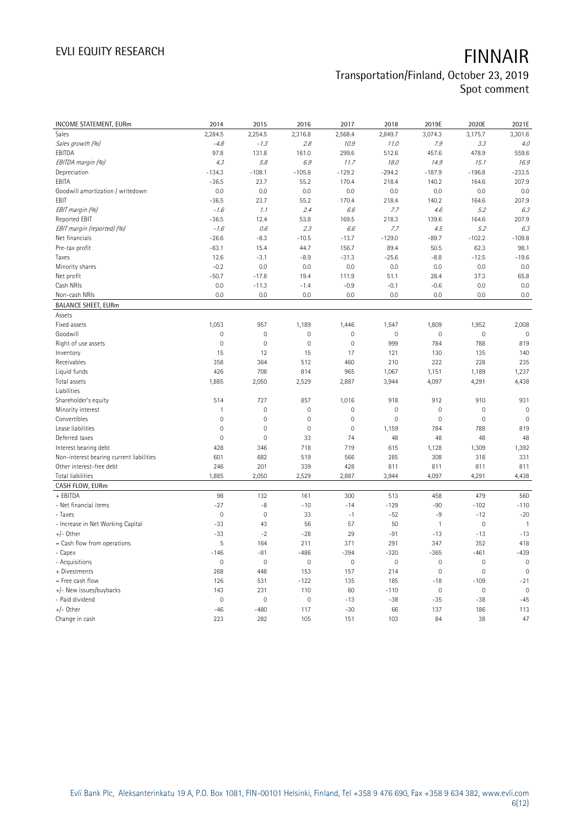# EVLI EQUITY RESEARCH **FINNAIR**

# Transportation/Finland, October 23, 2019

Spot comment

| <b>INCOME STATEMENT, EURm</b>            | 2014           | 2015           | 2016                | 2017         | 2018           | 2019E        | 2020E               | 2021E               |
|------------------------------------------|----------------|----------------|---------------------|--------------|----------------|--------------|---------------------|---------------------|
| Sales                                    | 2,284.5        | 2,254.5        | 2,316.8             | 2,568.4      | 2,849.7        | 3,074.3      | 3,175.7             | 3,301.6             |
| Sales growth (%)                         | $-4.8$         | $-1.3$         | 2.8                 | 10.9         | 11.0           | 7.9          | 3.3                 | 4.0                 |
| EBITDA                                   | 97.8           | 131.8          | 161.0               | 299.6        | 512.6          | 457.6        | 478.9               | 559.6               |
| EBITDA margin (%)                        | 4.3            | 5.8            | 6.9                 | 11.7         | 18.0           | 14.9         | 15.1                | 16.9                |
| Depreciation                             | $-134.3$       | $-108.1$       | $-105.8$            | $-129.2$     | $-294.2$       | $-187.9$     | $-196.8$            | $-233.5$            |
| EBITA                                    | $-36.5$        | 23.7           | 55.2                | 170.4        | 218.4          | 140.2        | 164.6               | 207.9               |
| Goodwill amortization / writedown        | 0.0            | 0.0            | 0.0                 | 0.0          | 0.0            | 0.0          | 0.0                 | 0.0                 |
| EBIT                                     | $-36.5$        | 23.7           | 55.2                | 170.4        | 218.4          | 140.2        | 164.6               | 207.9               |
| EBIT margin (%)                          | $-1.6$         | 1.1            | 2.4                 | 6.6          | 7.7            | 4.6          | 5.2                 | 6.3                 |
| Reported EBIT                            | $-36.5$        | 12.4           | 53.8                | 169.5        | 218.3          | 139.6        | 164.6               | 207.9               |
| EBIT margin (reported) (%)               | $-1.6$         | 0.6            | 2.3                 | 6.6          | 7.7            | 4.5          | 5.2                 | 6.3                 |
| Net financials                           | $-26.6$        | $-8.3$         | $-10.5$             | $-13.7$      | $-129.0$       | $-89.7$      | $-102.2$            | $-109.8$            |
| Pre-tax profit                           | $-63.1$        | 15.4           | 44.7                | 156.7        | 89.4           | 50.5         | 62.3                | 98.1                |
| Taxes                                    | 12.6           | $-3.1$         | $-8.9$              | $-31.3$      | $-25.6$        | $-8.8$       | $-12.5$             | $-19.6$             |
| Minority shares                          | $-0.2$         | 0.0            | 0.0                 | 0.0          | 0.0            | 0.0          | 0.0                 | 0.0                 |
| Net profit                               | $-50.7$        | $-17.8$        | 19.4                | 111.9        | 51.1           | 28.4         | 37.3                | 65.8                |
| Cash NRIs                                | 0.0            | $-11.3$        | $-1.4$              | $-0.9$       | $-0.1$         | $-0.6$       | 0.0                 | 0.0                 |
| Non-cash NRIs                            | 0.0            | 0.0            | 0.0                 | 0.0          | 0.0            | 0.0          | 0.0                 | 0.0                 |
| <b>BALANCE SHEET, EURm</b>               |                |                |                     |              |                |              |                     |                     |
| Assets                                   |                |                |                     |              |                |              |                     |                     |
| Fixed assets                             | 1,053          | 957            | 1,189               | 1,446        | 1,547          | 1,809        | 1,952               | 2,008               |
| Goodwill                                 | $\overline{0}$ | 0              | $\overline{0}$      | $\mathbf 0$  | $\overline{0}$ | $\mathbf 0$  | 0                   | $\overline{0}$      |
| Right of use assets                      | $\mathbf 0$    | $\mathbf 0$    | $\mathsf{O}\xspace$ | $\mathbf 0$  | 999            | 784          | 788                 | 819                 |
| Inventory                                | 15             | 12             | 15                  | 17           | 121            | 130          | 135                 | 140                 |
| Receivables                              | 358            | 364            | 512                 | 460          | 210            | 222          | 228                 | 235                 |
| Liquid funds                             | 426            | 708            | 814                 | 965          | 1,067          | 1,151        | 1,189               | 1,237               |
| Total assets                             | 1,885          | 2,050          | 2,529               | 2,887        | 3,944          | 4,097        | 4,291               | 4,438               |
| Liabilities                              |                |                |                     |              |                |              |                     |                     |
| Shareholder's equity                     | 514            | 727            | 857                 | 1,016        | 918            | 912          | 910                 | 931                 |
| Minority interest                        | $\mathbf{1}$   | $\overline{0}$ | $\mathsf{O}\xspace$ | $\mathbf 0$  | $\mathbf 0$    | $\mathbf 0$  | $\mathbf 0$         | $\mathbf 0$         |
| Convertibles                             | $\overline{0}$ | $\mathbf 0$    | $\mathbf 0$         | $\mathbf 0$  | $\mathbf 0$    | 0            | $\mathbf 0$         | $\mathsf{O}\xspace$ |
| Lease liabilities                        | $\overline{0}$ | $\overline{0}$ | $\overline{0}$      | $\mathbf{0}$ | 1,159          | 784          | 788                 | 819                 |
| Deferred taxes                           | $\mathbf 0$    | $\mathbf 0$    | 33                  | 74           | 48             | 48           | 48                  | 48                  |
| Interest bearing debt                    | 428            | 346            | 718                 | 719          | 615            | 1,128        | 1,309               | 1,392               |
| Non-interest bearing current liabilities | 601            | 682            | 519                 | 566          | 285            | 308          | 318                 | 331                 |
| Other interest-free debt                 | 246            | 201            | 339                 | 428          | 811            | 811          | 811                 | 811                 |
| <b>Total liabilities</b>                 | 1,885          | 2,050          | 2,529               | 2,887        | 3,944          | 4,097        | 4,291               | 4,438               |
| CASH FLOW, EURm                          |                |                |                     |              |                |              |                     |                     |
| + EBITDA                                 | 98             | 132            | 161                 | 300          | 513            | 458          | 479                 | 560                 |
| - Net financial items                    | $-27$          | $-8$           | $-10$               | $-14$        | $-129$         | $-90$        | $-102$              | $-110$              |
| - Taxes                                  | $\overline{0}$ | $\mathbf 0$    | 33                  | $-1$         | $-52$          | -9           | $-12$               | $-20$               |
| - Increase in Net Working Capital        | $-33$          | 43             | 56                  | 57           | 50             | $\mathbf{1}$ | $\mathbf 0$         | $\overline{1}$      |
| $+/-$ Other                              | $-33$          | $-2$           | $-28$               | 29           | $-91$          | $-13$        | $-13$               | $-13$               |
| = Cash flow from operations              | 5              | 164            | 211                 | 371          | 291            | 347          | 352                 | 418                 |
| - Capex                                  | $-146$         | $-81$          | -486                | $-394$       | $-320$         | $-365$       | $-461$              | $-439$              |
| - Acquisitions                           | $\mathbf 0$    | $\mathbf 0$    | $\mathsf{O}\xspace$ | $\mathbf 0$  | $\mathbf 0$    | $\mathbf 0$  | $\mathbf 0$         | $\mathbb O$         |
| + Divestments                            | 268            | 448            | 153                 | 157          | 214            | $\mathbf 0$  | $\mathbf 0$         | $\mathbb O$         |
| = Free cash flow                         | 126            | 531            | $-122$              | 135          | 185            | $-18$        | $-109$              | $-21$               |
| +/- New issues/buybacks                  | 143            | 231            | 110                 | 60           | $-110$         | $\mathbf 0$  | $\mathsf{O}\xspace$ | $\mathsf{O}\xspace$ |
| - Paid dividend                          | $\mathbf 0$    | 0              | 0                   | $-13$        | $-38$          | $-35$        | $-38$               | $-45$               |
| $+/-$ Other                              | $-46$          | $-480$         | 117                 | $-30$        | 66             | 137          | 186                 | 113                 |
| Change in cash                           | 223            | 282            | 105                 | 151          | 103            | 84           | 38                  | 47                  |
|                                          |                |                |                     |              |                |              |                     |                     |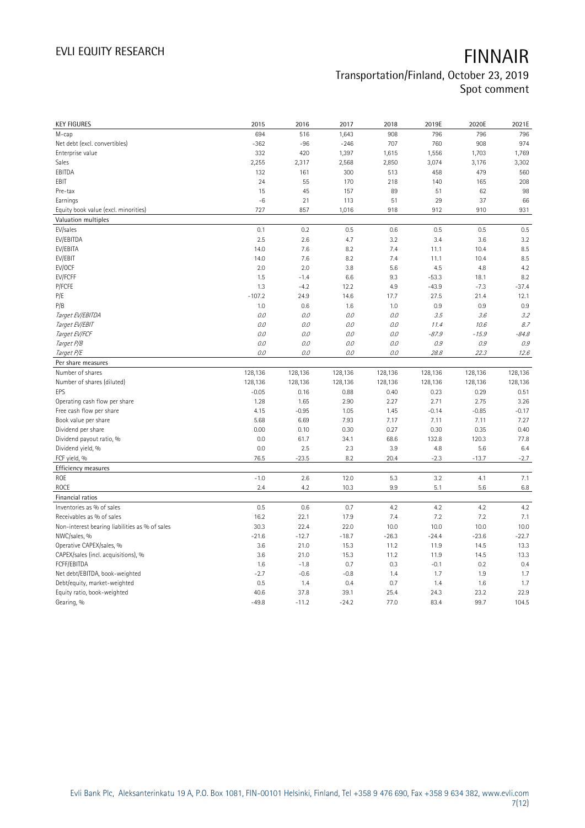| <b>KEY FIGURES</b>                             | 2015            | 2016            | 2017            | 2018         | 2019E        | 2020E         | 2021E         |
|------------------------------------------------|-----------------|-----------------|-----------------|--------------|--------------|---------------|---------------|
| M-cap                                          | 694             | 516             | 1,643           | 908          | 796          | 796           | 796           |
| Net debt (excl. convertibles)                  | $-362$          | $-96$           | $-246$          | 707          | 760          | 908           | 974           |
| Enterprise value                               | 332             | 420             | 1,397           | 1,615        | 1,556        | 1,703         | 1,769         |
| Sales                                          | 2,255           | 2,317           | 2,568           | 2,850        | 3,074        | 3,176         | 3,302         |
| EBITDA                                         | 132             | 161             | 300             | 513          | 458          | 479           | 560           |
| EBIT                                           | 24              | 55              | 170             | 218          | 140          | 165           | 208           |
| Pre-tax                                        | 15              | 45              | 157             | 89           | 51           | 62            | 98            |
| Earnings                                       | $-6$            | 21              | 113             | 51           | 29           | 37            | 66            |
| Equity book value (excl. minorities)           | 727             | 857             | 1,016           | 918          | 912          | 910           | 931           |
| Valuation multiples                            |                 |                 |                 |              |              |               |               |
| EV/sales                                       | 0.1             | 0.2             | 0.5             | 0.6          | 0.5          | 0.5           | 0.5           |
| EV/EBITDA                                      | 2.5             | 2.6             | 4.7             | 3.2          | 3.4          | 3.6           | 3.2           |
| EV/EBITA                                       | 14.0            | 7.6             | 8.2             | 7.4          | 11.1         | 10.4          | 8.5           |
| EV/EBIT                                        | 14.0            | 7.6             | 8.2             | 7.4          | 11.1         | 10.4          | 8.5           |
| EV/OCF                                         | 2.0             | 2.0             | 3.8             | 5.6          | 4.5          | 4.8           | 4.2           |
| EV/FCFF                                        | 1.5             | $-1.4$          | 6.6             | 9.3          | $-53.3$      | 18.1          | 8.2           |
| P/FCFE                                         | 1.3             | $-4.2$          | 12.2            | 4.9          | $-43.9$      | $-7.3$        | $-37.4$       |
| P/E                                            | $-107.2$        | 24.9            | 14.6            | 17.7         | 27.5         | 21.4          | 12.1          |
| P/B                                            | 1.0             | 0.6             | 1.6             | 1.0          | 0.9          | 0.9           | 0.9           |
| Target EV/EBITDA                               | 0.0             | 0.0             | 0.0             | 0.0          | 3.5          | 3.6           | 3.2           |
| Target EV/EBIT                                 | 0.0             | 0.0             | 0.0             | $O.O$        | 11.4         | 10.6          | 8.7           |
| Target EV/FCF                                  | 0.0             | 0.0             | 0.0             | 0.0          | $-87.9$      | $-15.9$       | $-84.8$       |
| Target P/B                                     | 0.0             | 0.0             | O.O             | O.O          | 0.9          | 0.9           | 0.9           |
| Target P/E                                     | 0.0             | 0.0             | $0.0$           | 0.0          | 28.8         | 22.3          | 12.6          |
| Per share measures                             |                 |                 |                 |              |              |               |               |
|                                                |                 |                 |                 |              |              |               |               |
|                                                |                 |                 |                 |              |              |               |               |
| Number of shares                               | 128,136         | 128,136         | 128,136         | 128,136      | 128,136      | 128,136       | 128,136       |
| Number of shares (diluted)<br>EPS              | 128,136         | 128,136         | 128,136         | 128,136      | 128,136      | 128,136       | 128,136       |
|                                                | $-0.05$         | 0.16            | 0.88            | 0.40         | 0.23         | 0.29          | 0.51          |
| Operating cash flow per share                  | 1.28            | 1.65            | 2.90            | 2.27         | 2.71         | 2.75          | 3.26          |
| Free cash flow per share                       | 4.15            | $-0.95$         | 1.05            | 1.45         | $-0.14$      | $-0.85$       | $-0.17$       |
| Book value per share                           | 5.68            | 6.69            | 7.93            | 7.17         | 7.11         | 7.11          | 7.27          |
| Dividend per share                             | 0.00<br>0.0     | 0.10            | 0.30            | 0.27         | 0.30         | 0.35<br>120.3 | 0.40<br>77.8  |
| Dividend payout ratio, %                       | 0.0             | 61.7<br>2.5     | 34.1<br>2.3     | 68.6<br>3.9  | 132.8<br>4.8 |               | 6.4           |
| Dividend yield, %                              |                 |                 |                 | 20.4         |              | 5.6           |               |
| FCF yield, %                                   | 76.5            | $-23.5$         | 8.2             |              | $-2.3$       | $-13.7$       | $-2.7$        |
| Efficiency measures                            |                 |                 |                 |              |              |               |               |
| ROE                                            | $-1.0$          | 2.6             | 12.0            | 5.3          | 3.2          | 4.1           | 7.1           |
| ROCE                                           | 2.4             | 4.2             | 10.3            | 9.9          | 5.1          | 5.6           | $6.8\,$       |
| Financial ratios                               |                 |                 |                 |              |              |               |               |
| Inventories as % of sales                      | 0.5             | 0.6             | 0.7             | 4.2          | 4.2          | 4.2           | 4.2           |
| Receivables as % of sales                      | 16.2            | 22.1            | 17.9            | 7.4          | 7.2          | 7.2           | 7.1           |
| Non-interest bearing liabilities as % of sales | 30.3            | 22.4            | 22.0            | 10.0         | 10.0         | 10.0          | 10.0          |
| NWC/sales, %                                   | $-21.6$         | $-12.7$         | $-18.7$         | $-26.3$      | $-24.4$      | $-23.6$       | $-22.7$       |
| Operative CAPEX/sales, %                       | 3.6             | 21.0            | 15.3            | 11.2         | 11.9         | 14.5          | 13.3          |
| CAPEX/sales (incl. acquisitions), %            | 3.6             | 21.0            | 15.3            | 11.2         | 11.9         | 14.5          | 13.3          |
| FCFF/EBITDA                                    | 1.6             | $-1.8$          | 0.7             | 0.3          | $-0.1$       | 0.2           | 0.4           |
| Net debt/EBITDA, book-weighted                 | $-2.7$          | $-0.6$          | $-0.8$          | 1.4          | 1.7          | 1.9           | 1.7           |
| Debt/equity, market-weighted                   | 0.5             | 1.4             | 0.4             | 0.7          | 1.4          | 1.6           | 1.7           |
| Equity ratio, book-weighted<br>Gearing, %      | 40.6<br>$-49.8$ | 37.8<br>$-11.2$ | 39.1<br>$-24.2$ | 25.4<br>77.0 | 24.3<br>83.4 | 23.2<br>99.7  | 22.9<br>104.5 |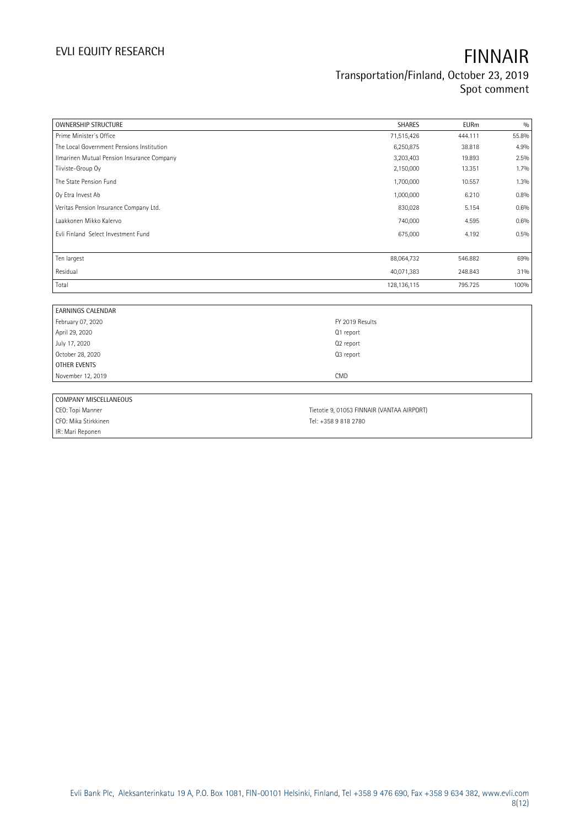| <b>OWNERSHIP STRUCTURE</b>                 | <b>SHARES</b>                              | <b>EURm</b> | 0/0   |
|--------------------------------------------|--------------------------------------------|-------------|-------|
| Prime Minister's Office                    | 71,515,426                                 | 444.111     | 55.8% |
| The Local Government Pensions Institution  | 6,250,875                                  | 38.818      | 4.9%  |
| Ilmarinen Mutual Pension Insurance Company | 3,203,403                                  | 19.893      | 2.5%  |
| Tiiviste-Group Oy                          | 2,150,000                                  | 13.351      | 1.7%  |
| The State Pension Fund                     | 1,700,000                                  | 10.557      | 1.3%  |
| Oy Etra Invest Ab                          | 1,000,000                                  | 6.210       | 0.8%  |
| Veritas Pension Insurance Company Ltd.     | 830,028                                    | 5.154       | 0.6%  |
| Laakkonen Mikko Kalervo                    | 740,000                                    | 4.595       | 0.6%  |
| Evli Finland Select Investment Fund        | 675,000                                    | 4.192       | 0.5%  |
| Ten largest                                | 88,064,732                                 | 546.882     | 69%   |
| Residual                                   | 40,071,383                                 | 248.843     | 31%   |
| Total                                      | 128, 136, 115                              | 795.725     | 100%  |
|                                            |                                            |             |       |
| <b>EARNINGS CALENDAR</b>                   |                                            |             |       |
| February 07, 2020                          | FY 2019 Results                            |             |       |
| April 29, 2020                             | Q1 report                                  |             |       |
| July 17, 2020                              | Q2 report                                  |             |       |
| October 28, 2020                           | Q3 report                                  |             |       |
| <b>OTHER EVENTS</b>                        |                                            |             |       |
| November 12, 2019                          | CMD                                        |             |       |
| COMPANY MISCELLANEOUS                      |                                            |             |       |
| CEO: Topi Manner                           | Tietotie 9, 01053 FINNAIR (VANTAA AIRPORT) |             |       |
| CFO: Mika Stirkkinen                       | Tel: +358 9 818 2780                       |             |       |
| IR: Mari Reponen                           |                                            |             |       |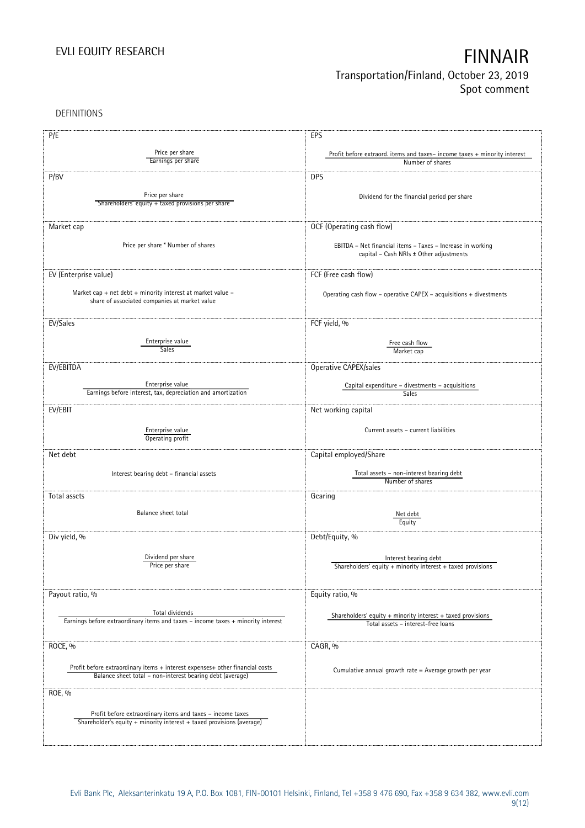DEFINITIONS

| P/E                                                                                                                                       | EPS                                                                      |
|-------------------------------------------------------------------------------------------------------------------------------------------|--------------------------------------------------------------------------|
| Price per share                                                                                                                           | Profit before extraord. items and taxes-income taxes + minority interest |
| Earnings per share                                                                                                                        | Number of shares                                                         |
|                                                                                                                                           |                                                                          |
| P/BV                                                                                                                                      | <b>DPS</b>                                                               |
| Price per share                                                                                                                           | Dividend for the financial period per share                              |
| Shareholders' equity + taxed provisions per share                                                                                         |                                                                          |
|                                                                                                                                           |                                                                          |
| Market cap                                                                                                                                | OCF (Operating cash flow)                                                |
|                                                                                                                                           |                                                                          |
| Price per share * Number of shares                                                                                                        | EBITDA - Net financial items - Taxes - Increase in working               |
|                                                                                                                                           | capital - Cash NRIs ± Other adjustments                                  |
|                                                                                                                                           |                                                                          |
| EV (Enterprise value)                                                                                                                     | FCF (Free cash flow)                                                     |
|                                                                                                                                           |                                                                          |
| Market cap + net debt + minority interest at market value -                                                                               | Operating cash flow - operative CAPEX - acquisitions + divestments       |
| share of associated companies at market value                                                                                             |                                                                          |
|                                                                                                                                           |                                                                          |
| EV/Sales                                                                                                                                  | FCF yield, %                                                             |
|                                                                                                                                           |                                                                          |
| Enterprise value                                                                                                                          | Free cash flow                                                           |
| <b>Sales</b>                                                                                                                              | Market cap                                                               |
| EV/EBITDA                                                                                                                                 | Operative CAPEX/sales                                                    |
|                                                                                                                                           |                                                                          |
| Enterprise value                                                                                                                          | Capital expenditure - divestments - acquisitions                         |
| Earnings before interest, tax, depreciation and amortization                                                                              | Sales                                                                    |
| EV/EBIT                                                                                                                                   | Net working capital                                                      |
|                                                                                                                                           |                                                                          |
| Enterprise value                                                                                                                          | Current assets - current liabilities                                     |
| Operating profit                                                                                                                          |                                                                          |
|                                                                                                                                           |                                                                          |
| Net debt                                                                                                                                  | Capital employed/Share                                                   |
|                                                                                                                                           |                                                                          |
| Interest bearing debt - financial assets                                                                                                  | Total assets - non-interest bearing debt<br>Number of shares             |
|                                                                                                                                           |                                                                          |
| Total assets                                                                                                                              | Gearing                                                                  |
| Balance sheet total                                                                                                                       |                                                                          |
|                                                                                                                                           | Net debt<br>Equity                                                       |
|                                                                                                                                           |                                                                          |
| Div yield, %                                                                                                                              | Debt/Equity, %                                                           |
|                                                                                                                                           |                                                                          |
| Dividend per share                                                                                                                        | Interest bearing debt                                                    |
| Price per share                                                                                                                           | Shareholders' equity + minority interest + taxed provisions              |
|                                                                                                                                           |                                                                          |
| Payout ratio, %                                                                                                                           | Equity ratio, %                                                          |
|                                                                                                                                           |                                                                          |
| Total dividends                                                                                                                           | Shareholders' equity $+$ minority interest $+$ taxed provisions          |
| Earnings before extraordinary items and taxes - income taxes + minority interest                                                          | Total assets - interest-free loans                                       |
|                                                                                                                                           |                                                                          |
| ROCE, %                                                                                                                                   | CAGR, %                                                                  |
|                                                                                                                                           |                                                                          |
|                                                                                                                                           |                                                                          |
| Profit before extraordinary items + interest expenses+ other financial costs<br>Balance sheet total - non-interest bearing debt (average) | Cumulative annual growth rate = Average growth per year                  |
|                                                                                                                                           |                                                                          |
| ROE, %                                                                                                                                    |                                                                          |
|                                                                                                                                           |                                                                          |
| Profit before extraordinary items and taxes - income taxes                                                                                |                                                                          |
| Shareholder's equity + minority interest + taxed provisions (average)                                                                     |                                                                          |
|                                                                                                                                           |                                                                          |
|                                                                                                                                           |                                                                          |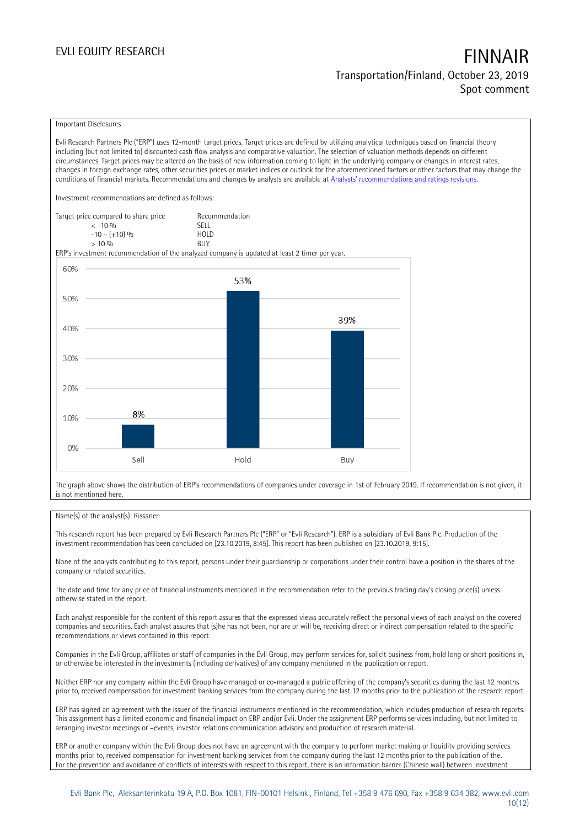### Important Disclosures

Evli Research Partners Plc ("ERP") uses 12-month target prices. Target prices are defined by utilizing analytical techniques based on financial theory including (but not limited to) discounted cash flow analysis and comparative valuation. The selection of valuation methods depends on different circumstances. Target prices may be altered on the basis of new information coming to light in the underlying company or changes in interest rates, changes in foreign exchange rates, other securities prices or market indices or outlook for the aforementioned factors or other factors that may change the conditions of financial markets. Recommendations and changes by analysts are available at [Analysts' recommendations](https://research.evli.com/JasperAllModels.action?authParam=key;461&authParam=x;G3rNagWrtf7K&authType=3) and ratings revisions.

Investment recommendations are defined as follows:

| Target price compared to share price | Recommendation                |
|--------------------------------------|-------------------------------|
| $<-10.96$                            | <b>SFII</b>                   |
| $-10 - (+10)$ %                      | H <sub>O</sub> I <sub>D</sub> |
| $> 10\%$                             | <b>BUY</b>                    |

ERP's investment recommendation of the analyzed company is updated at least 2 timer per year.



The graph above shows the distribution of ERP's recommendations of companies under coverage in 1st of February 2019. If recommendation is not given, it is not mentioned here.

### Name(s) of the analyst(s): Rissanen

This research report has been prepared by Evli Research Partners Plc ("ERP" or "Evli Research"). ERP is a subsidiary of Evli Bank Plc. Production of the investment recommendation has been concluded on [23.10.2019, 8:45]. This report has been published on [23.10.2019, 9:15].

None of the analysts contributing to this report, persons under their guardianship or corporations under their control have a position in the shares of the company or related securities.

The date and time for any price of financial instruments mentioned in the recommendation refer to the previous trading day's closing price(s) unless otherwise stated in the report.

Each analyst responsible for the content of this report assures that the expressed views accurately reflect the personal views of each analyst on the covered companies and securities. Each analyst assures that (s)he has not been, nor are or will be, receiving direct or indirect compensation related to the specific recommendations or views contained in this report.

Companies in the Evli Group, affiliates or staff of companies in the Evli Group, may perform services for, solicit business from, hold long or short positions in, or otherwise be interested in the investments (including derivatives) of any company mentioned in the publication or report.

Neither ERP nor any company within the Evli Group have managed or co-managed a public offering of the company's securities during the last 12 months prior to, received compensation for investment banking services from the company during the last 12 months prior to the publication of the research report.

ERP has signed an agreement with the issuer of the financial instruments mentioned in the recommendation, which includes production of research reports. This assignment has a limited economic and financial impact on ERP and/or Evli. Under the assignment ERP performs services including, but not limited to, arranging investor meetings or –events, investor relations communication advisory and production of research material.

ERP or another company within the Evli Group does not have an agreement with the company to perform market making or liquidity providing services. months prior to, received compensation for investment banking services from the company during the last 12 months prior to the publication of the. For the prevention and avoidance of conflicts of interests with respect to this report, there is an information barrier (Chinese wall) between Investment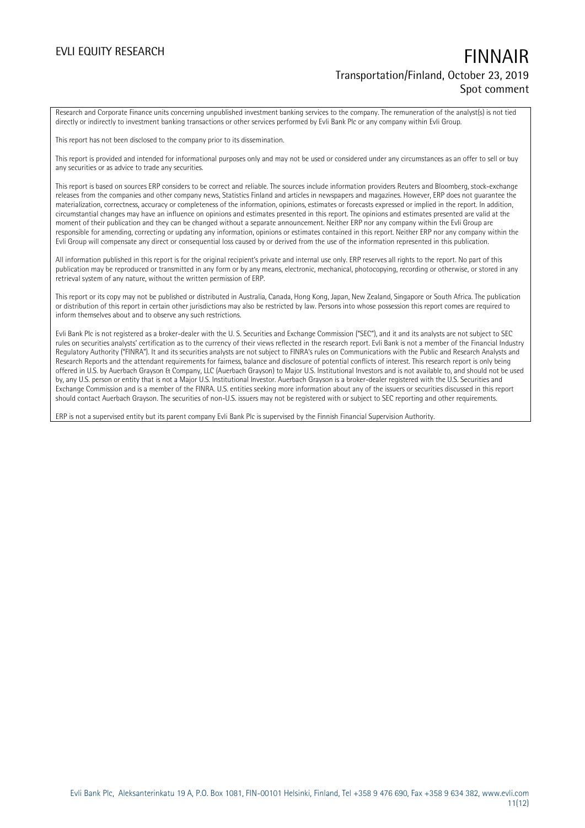Research and Corporate Finance units concerning unpublished investment banking services to the company. The remuneration of the analyst(s) is not tied directly or indirectly to investment banking transactions or other services performed by Evli Bank Plc or any company within Evli Group.

This report has not been disclosed to the company prior to its dissemination.

This report is provided and intended for informational purposes only and may not be used or considered under any circumstances as an offer to sell or buy any securities or as advice to trade any securities.

This report is based on sources ERP considers to be correct and reliable. The sources include information providers Reuters and Bloomberg, stock-exchange releases from the companies and other company news, Statistics Finland and articles in newspapers and magazines. However, ERP does not guarantee the materialization, correctness, accuracy or completeness of the information, opinions, estimates or forecasts expressed or implied in the report. In addition, circumstantial changes may have an influence on opinions and estimates presented in this report. The opinions and estimates presented are valid at the moment of their publication and they can be changed without a separate announcement. Neither ERP nor any company within the Evli Group are responsible for amending, correcting or updating any information, opinions or estimates contained in this report. Neither ERP nor any company within the Evli Group will compensate any direct or consequential loss caused by or derived from the use of the information represented in this publication.

All information published in this report is for the original recipient's private and internal use only. ERP reserves all rights to the report. No part of this publication may be reproduced or transmitted in any form or by any means, electronic, mechanical, photocopying, recording or otherwise, or stored in any retrieval system of any nature, without the written permission of ERP.

This report or its copy may not be published or distributed in Australia, Canada, Hong Kong, Japan, New Zealand, Singapore or South Africa. The publication or distribution of this report in certain other jurisdictions may also be restricted by law. Persons into whose possession this report comes are required to inform themselves about and to observe any such restrictions.

Evli Bank Plc is not registered as a broker-dealer with the U. S. Securities and Exchange Commission ("SEC"), and it and its analysts are not subject to SEC rules on securities analysts' certification as to the currency of their views reflected in the research report. Evli Bank is not a member of the Financial Industry Regulatory Authority ("FINRA"). It and its securities analysts are not subject to FINRA's rules on Communications with the Public and Research Analysts and Research Reports and the attendant requirements for fairness, balance and disclosure of potential conflicts of interest. This research report is only being offered in U.S. by Auerbach Grayson & Company, LLC (Auerbach Grayson) to Major U.S. Institutional Investors and is not available to, and should not be used by, any U.S. person or entity that is not a Major U.S. Institutional Investor. Auerbach Grayson is a broker-dealer registered with the U.S. Securities and Exchange Commission and is a member of the FINRA. U.S. entities seeking more information about any of the issuers or securities discussed in this report should contact Auerbach Grayson. The securities of non-U.S. issuers may not be registered with or subject to SEC reporting and other requirements.

ERP is not a supervised entity but its parent company Evli Bank Plc is supervised by the Finnish Financial Supervision Authority.